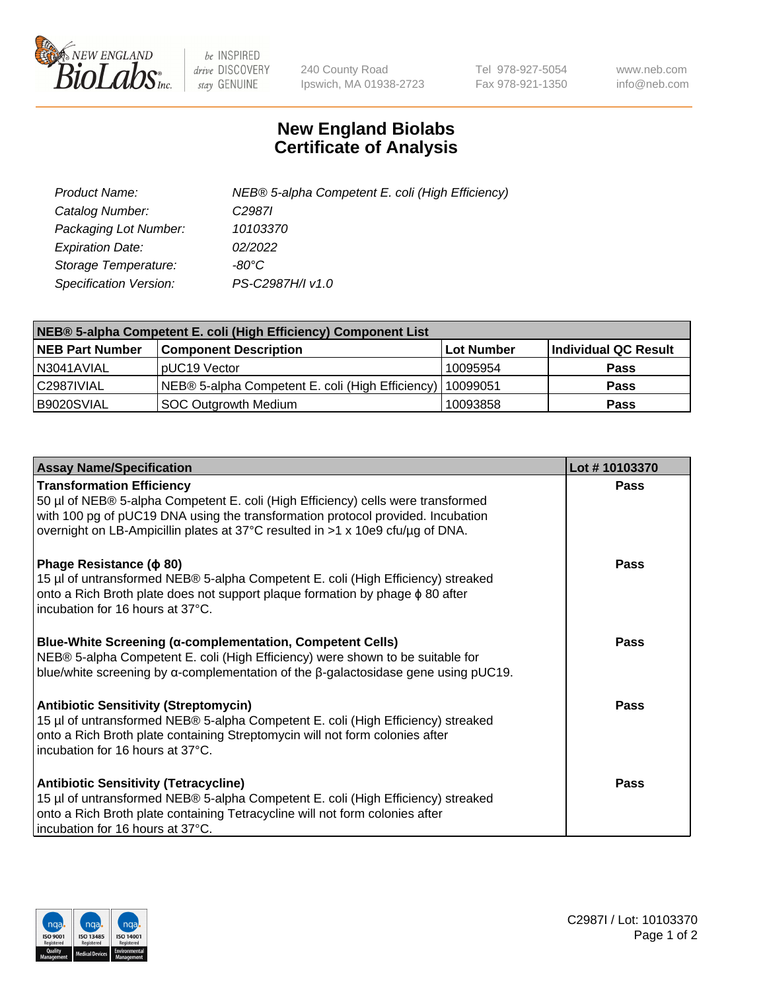

 $be$  INSPIRED drive DISCOVERY stay GENUINE

240 County Road Ipswich, MA 01938-2723 Tel 978-927-5054 Fax 978-921-1350 www.neb.com info@neb.com

## **New England Biolabs Certificate of Analysis**

| Product Name:           | NEB® 5-alpha Competent E. coli (High Efficiency) |
|-------------------------|--------------------------------------------------|
| Catalog Number:         | C <sub>2987</sub>                                |
| Packaging Lot Number:   | 10103370                                         |
| <b>Expiration Date:</b> | 02/2022                                          |
| Storage Temperature:    | -80°C                                            |
| Specification Version:  | PS-C2987H/I v1.0                                 |

| NEB® 5-alpha Competent E. coli (High Efficiency) Component List |                                                             |                   |                      |  |
|-----------------------------------------------------------------|-------------------------------------------------------------|-------------------|----------------------|--|
| <b>NEB Part Number</b>                                          | <b>Component Description</b>                                | <b>Lot Number</b> | Individual QC Result |  |
| N3041AVIAL                                                      | pUC19 Vector                                                | 10095954          | <b>Pass</b>          |  |
| C2987IVIAL                                                      | NEB® 5-alpha Competent E. coli (High Efficiency)   10099051 |                   | <b>Pass</b>          |  |
| B9020SVIAL                                                      | SOC Outgrowth Medium                                        | 10093858          | <b>Pass</b>          |  |

| <b>Assay Name/Specification</b>                                                                                                                                                                                                                                                           | Lot #10103370 |
|-------------------------------------------------------------------------------------------------------------------------------------------------------------------------------------------------------------------------------------------------------------------------------------------|---------------|
| <b>Transformation Efficiency</b><br>50 µl of NEB® 5-alpha Competent E. coli (High Efficiency) cells were transformed<br>with 100 pg of pUC19 DNA using the transformation protocol provided. Incubation<br>overnight on LB-Ampicillin plates at 37°C resulted in >1 x 10e9 cfu/µg of DNA. | <b>Pass</b>   |
| Phage Resistance ( $\phi$ 80)<br>15 µl of untransformed NEB® 5-alpha Competent E. coli (High Efficiency) streaked<br>onto a Rich Broth plate does not support plaque formation by phage $\phi$ 80 after<br>incubation for 16 hours at 37°C.                                               | Pass          |
| Blue-White Screening (α-complementation, Competent Cells)<br>NEB® 5-alpha Competent E. coli (High Efficiency) were shown to be suitable for<br>blue/white screening by $\alpha$ -complementation of the $\beta$ -galactosidase gene using pUC19.                                          | <b>Pass</b>   |
| <b>Antibiotic Sensitivity (Streptomycin)</b><br>15 µl of untransformed NEB® 5-alpha Competent E. coli (High Efficiency) streaked<br>onto a Rich Broth plate containing Streptomycin will not form colonies after<br>incubation for 16 hours at 37°C.                                      | Pass          |
| <b>Antibiotic Sensitivity (Tetracycline)</b><br>15 µl of untransformed NEB® 5-alpha Competent E. coli (High Efficiency) streaked<br>onto a Rich Broth plate containing Tetracycline will not form colonies after<br>incubation for 16 hours at 37°C.                                      | Pass          |